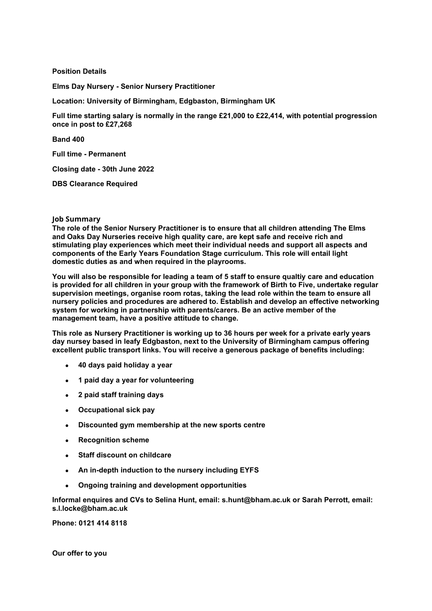## **Position Details**

**Elms Day Nursery - Senior Nursery Practitioner** 

**Location: University of Birmingham, Edgbaston, Birmingham UK**

**Full time starting salary is normally in the range £21,000 to £22,414, with potential progression once in post to £27,268**

**Band 400**

**Full time - Permanent**

**Closing date - 30th June 2022**

**DBS Clearance Required**

## **Job Summary**

**The role of the Senior Nursery Practitioner is to ensure that all children attending The Elms and Oaks Day Nurseries receive high quality care, are kept safe and receive rich and stimulating play experiences which meet their individual needs and support all aspects and components of the Early Years Foundation Stage curriculum. This role will entail light domestic duties as and when required in the playrooms.**

**You will also be responsible for leading a team of 5 staff to ensure qualtiy care and education is provided for all children in your group with the framework of Birth to Five, undertake regular supervision meetings, organise room rotas, taking the lead role within the team to ensure all nursery policies and procedures are adhered to. Establish and develop an effective networking system for working in partnership with parents/carers. Be an active member of the management team, have a positive attitude to change.**

**This role as Nursery Practitioner is working up to 36 hours per week for a private early years day nursey based in leafy Edgbaston, next to the University of Birmingham campus offering excellent public transport links. You will receive a generous package of benefits including:**

- **40 days paid holiday a year**
- **1 paid day a year for volunteering**
- **2 paid staff training days**
- **Occupational sick pay**
- **Discounted gym membership at the new sports centre**
- **Recognition scheme**
- **Staff discount on childcare**
- **An in-depth induction to the nursery including EYFS**
- **Ongoing training and development opportunities**

**Informal enquires and CVs to Selina Hunt, email: s.hunt@bham.ac.uk or Sarah Perrott, email: s.l.locke@bham.ac.uk**

**Phone: 0121 414 8118**

**Our offer to you**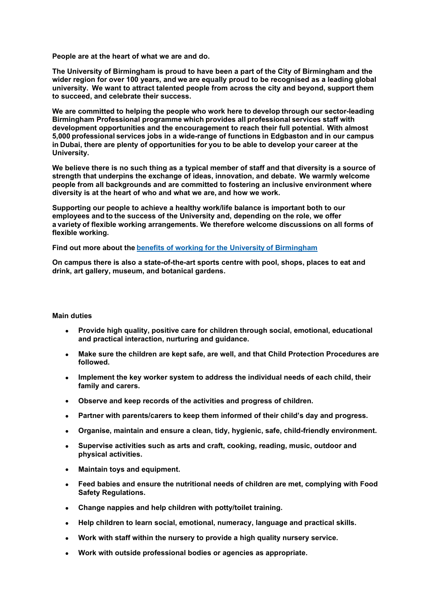**People are at the heart of what we are and do.** 

**The University of Birmingham is proud to have been a part of the City of Birmingham and the wider region for over 100 years, and we are equally proud to be recognised as a leading global university.  We want to attract talented people from across the city and beyond, support them to succeed, and celebrate their success.** 

**We are committed to helping the people who work here to develop through our sector-leading Birmingham Professional programme which provides all professional services staff with development opportunities and the encouragement to reach their full potential.  With almost 5,000 professional services jobs in a wide-range of functions in Edgbaston and in our campus in Dubai, there are plenty of opportunities for you to be able to develop your career at the University.** 

**We believe there is no such thing as a typical member of staff and that diversity is a source of strength that underpins the exchange of ideas, innovation, and debate.  We warmly welcome people from all backgrounds and are committed to fostering an inclusive environment where diversity is at the heart of who and what we are, and how we work.** 

**Supporting our people to achieve a healthy work/life balance is important both to our employees and to the success of the University and, depending on the role, we offer a variety of flexible working arrangements. We therefore welcome discussions on all forms of flexible working.**

**Find out more about the [benefits of working for the Universit](https://intranet.birmingham.ac.uk/hr/pay-and-reward/benefits/index.aspx)y of Birmingham** 

**On campus there is also a state-of-the-art sports centre with pool, shops, places to eat and drink, art gallery, museum, and botanical gardens.**

## **Main duties**

- **Provide high quality, positive care for children through social, emotional, educational and practical interaction, nurturing and guidance.**
- **Make sure the children are kept safe, are well, and that Child Protection Procedures are followed.**
- **Implement the key worker system to address the individual needs of each child, their family and carers.**
- **Observe and keep records of the activities and progress of children.**
- **Partner with parents/carers to keep them informed of their child's day and progress.**
- **Organise, maintain and ensure a clean, tidy, hygienic, safe, child-friendly environment.**
- **Supervise activities such as arts and craft, cooking, reading, music, outdoor and physical activities.**
- **Maintain toys and equipment.**
- **Feed babies and ensure the nutritional needs of children are met, complying with Food Safety Regulations.**
- **Change nappies and help children with potty/toilet training.**
- **Help children to learn social, emotional, numeracy, language and practical skills.**
- **Work with staff within the nursery to provide a high quality nursery service.**
- **Work with outside professional bodies or agencies as appropriate.**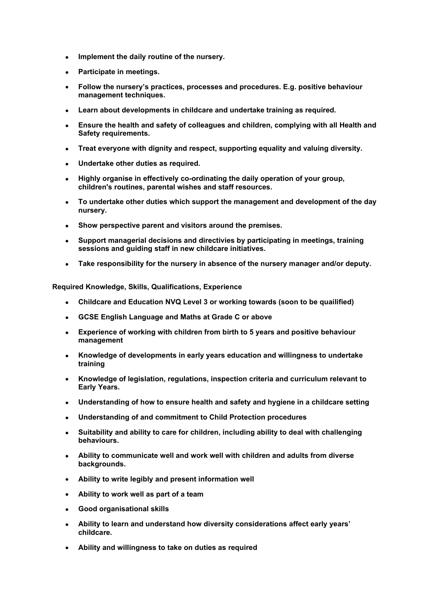- **Implement the daily routine of the nursery.**
- **Participate in meetings.**
- **Follow the nursery's practices, processes and procedures. E.g. positive behaviour management techniques.**
- **Learn about developments in childcare and undertake training as required.**
- **Ensure the health and safety of colleagues and children, complying with all Health and Safety requirements.**
- **Treat everyone with dignity and respect, supporting equality and valuing diversity.**
- **Undertake other duties as required.**
- **Highly organise in effectively co-ordinating the daily operation of your group, children's routines, parental wishes and staff resources.**
- **To undertake other duties which support the management and development of the day nursery.**
- **Show perspective parent and visitors around the premises.**
- **Support managerial decisions and directivies by participating in meetings, training sessions and guiding staff in new childcare initiatives.**
- **Take responsibility for the nursery in absence of the nursery manager and/or deputy.**

**Required Knowledge, Skills, Qualifications, Experience**

- **Childcare and Education NVQ Level 3 or working towards (soon to be quailified)**
- **GCSE English Language and Maths at Grade C or above**
- **Experience of working with children from birth to 5 years and positive behaviour management**
- **Knowledge of developments in early years education and willingness to undertake training**
- **Knowledge of legislation, regulations, inspection criteria and curriculum relevant to Early Years.**
- **Understanding of how to ensure health and safety and hygiene in a childcare setting**
- **Understanding of and commitment to Child Protection procedures**
- **Suitability and ability to care for children, including ability to deal with challenging behaviours.**
- **Ability to communicate well and work well with children and adults from diverse backgrounds.**
- **Ability to write legibly and present information well**
- **Ability to work well as part of a team**
- **Good organisational skills**
- **Ability to learn and understand how diversity considerations affect early years' childcare.**
- **Ability and willingness to take on duties as required**